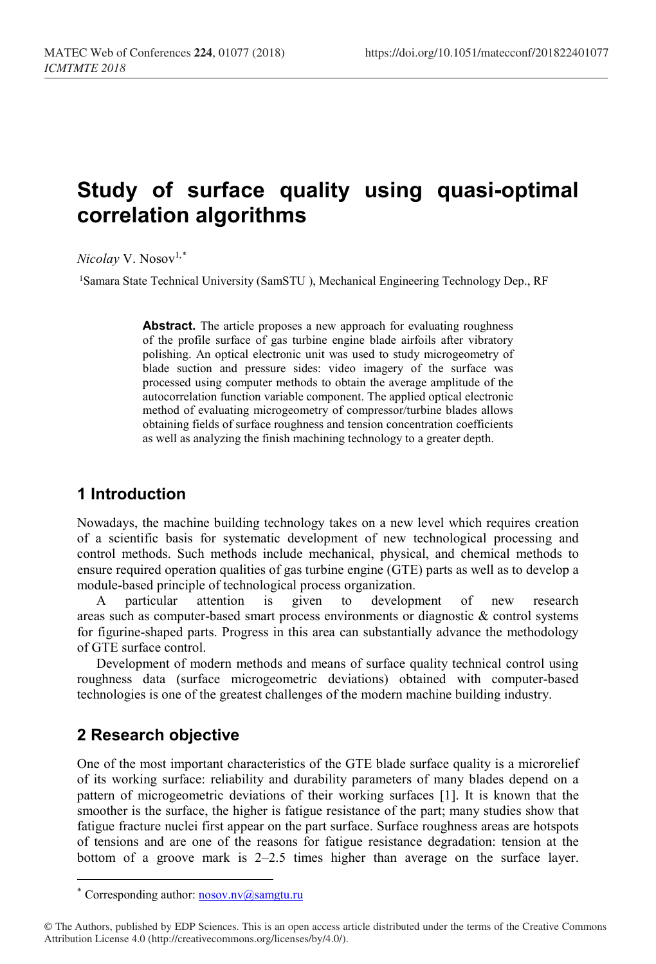# **Study of surface quality using quasi-optimal correlation algorithms**

*Nicolay* V. Nosov<sup>1,[\\*](#page-0-0)</sup>

<sup>1</sup>Samara State Technical University (SamSTU ), Mechanical Engineering Technology Dep., RF

Abstract. The article proposes a new approach for evaluating roughness of the profile surface of gas turbine engine blade airfoils after vibratory polishing. An optical electronic unit was used to study microgeometry of blade suction and pressure sides: video imagery of the surface was processed using computer methods to obtain the average amplitude of the autocorrelation function variable component. The applied optical electronic method of evaluating microgeometry of compressor/turbine blades allows obtaining fields of surface roughness and tension concentration coefficients as well as analyzing the finish machining technology to a greater depth.

### **1 Introduction**

Nowadays, the machine building technology takes on a new level which requires creation of a scientific basis for systematic development of new technological processing and control methods. Such methods include mechanical, physical, and chemical methods to ensure required operation qualities of gas turbine engine (GTE) parts as well as to develop a module-based principle of technological process organization.

A particular attention is given to development of new research areas such as computer-based smart process environments or diagnostic & control systems for figurine-shaped parts. Progress in this area can substantially advance the methodology of GTE surface control.

Development of modern methods and means of surface quality technical control using roughness data (surface microgeometric deviations) obtained with computer-based technologies is one of the greatest challenges of the modern machine building industry.

### **2 Research objective**

 $\ddot{\phantom{a}}$ 

One of the most important characteristics of the GTE blade surface quality is a microrelief of its working surface: reliability and durability parameters of many blades depend on a pattern of microgeometric deviations of their working surfaces [1]. It is known that the smoother is the surface, the higher is fatigue resistance of the part; many studies show that fatigue fracture nuclei first appear on the part surface. Surface roughness areas are hotspots of tensions and are one of the reasons for fatigue resistance degradation: tension at the bottom of a groove mark is 2–2.5 times higher than average on the surface layer.

<sup>\*</sup> Corresponding author:  $nosov.nv@samgtu.ru$ 

<span id="page-0-0"></span><sup>©</sup> The Authors, published by EDP Sciences. This is an open access article distributed under the terms of the Creative Commons Attribution License 4.0 (http://creativecommons.org/licenses/by/4.0/).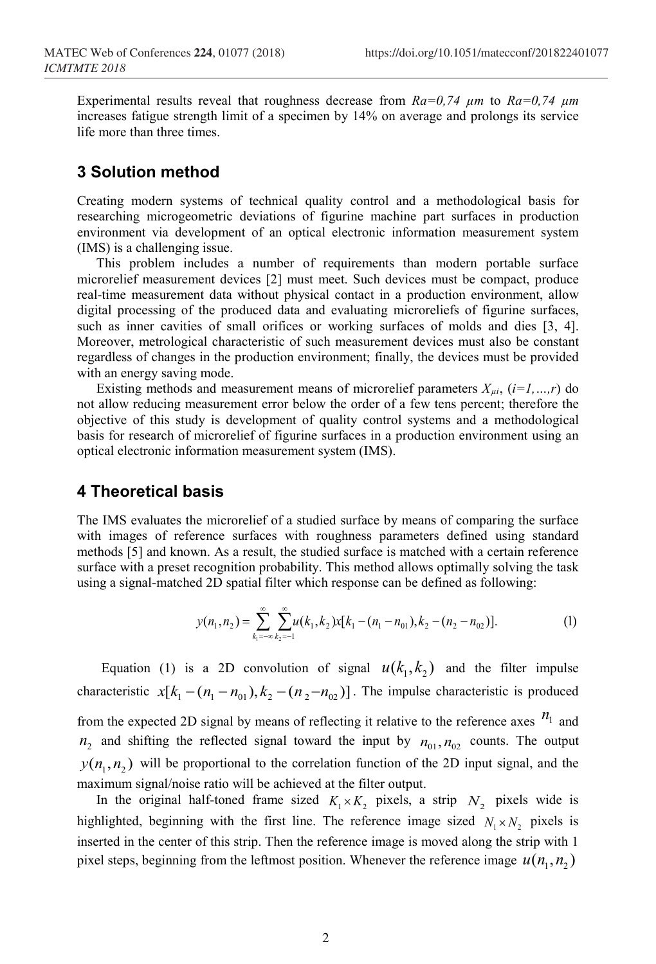Experimental results reveal that roughness decrease from *Ra=0,74 µm* to *Ra=0,74 µm* increases fatigue strength limit of a specimen by 14% on average and prolongs its service life more than three times.

#### **3 Solution method**

Creating modern systems of technical quality control and a methodological basis for researching microgeometric deviations of figurine machine part surfaces in production environment via development of an optical electronic information measurement system (IMS) is a challenging issue.

This problem includes a number of requirements than modern portable surface microrelief measurement devices [2] must meet. Such devices must be compact, produce real-time measurement data without physical contact in a production environment, allow digital processing of the produced data and evaluating microreliefs of figurine surfaces, such as inner cavities of small orifices or working surfaces of molds and dies [3, 4]. Moreover, metrological characteristic of such measurement devices must also be constant regardless of changes in the production environment; finally, the devices must be provided with an energy saving mode.

Existing methods and measurement means of microrelief parameters  $X_{\mu i}$ ,  $(i=1,...,r)$  do not allow reducing measurement error below the order of a few tens percent; therefore the objective of this study is development of quality control systems and a methodological basis for research of microrelief of figurine surfaces in a production environment using an optical electronic information measurement system (IMS).

#### **4 Theoretical basis**

The IMS evaluates the microrelief of a studied surface by means of comparing the surface with images of reference surfaces with roughness parameters defined using standard methods [5] and known. As a result, the studied surface is matched with a certain reference surface with a preset recognition probability. This method allows optimally solving the task using a signal-matched 2D spatial filter which response can be defined as following:

$$
y(n_1, n_2) = \sum_{k_1 = -\infty}^{\infty} \sum_{k_2 = -1}^{\infty} u(k_1, k_2) x[k_1 - (n_1 - n_{01}), k_2 - (n_2 - n_{02})].
$$
 (1)

Equation (1) is a 2D convolution of signal  $u(k_1, k_2)$  and the filter impulse characteristic  $x[k_1 - (n_1 - n_{01}), k_2 - (n_3 - n_{02})]$ . The impulse characteristic is produced from the expected 2D signal by means of reflecting it relative to the reference axes  $n_1$  and  $n_2$  and shifting the reflected signal toward the input by  $n_{01}$ ,  $n_{02}$  counts. The output  $y(n_1, n_2)$  will be proportional to the correlation function of the 2D input signal, and the maximum signal/noise ratio will be achieved at the filter output.

In the original half-toned frame sized  $K_1 \times K_2$  pixels, a strip  $N_2$  pixels wide is highlighted, beginning with the first line. The reference image sized  $N_1 \times N_2$  pixels is inserted in the center of this strip. Then the reference image is moved along the strip with 1 pixel steps, beginning from the leftmost position. Whenever the reference image  $u(n_1, n_2)$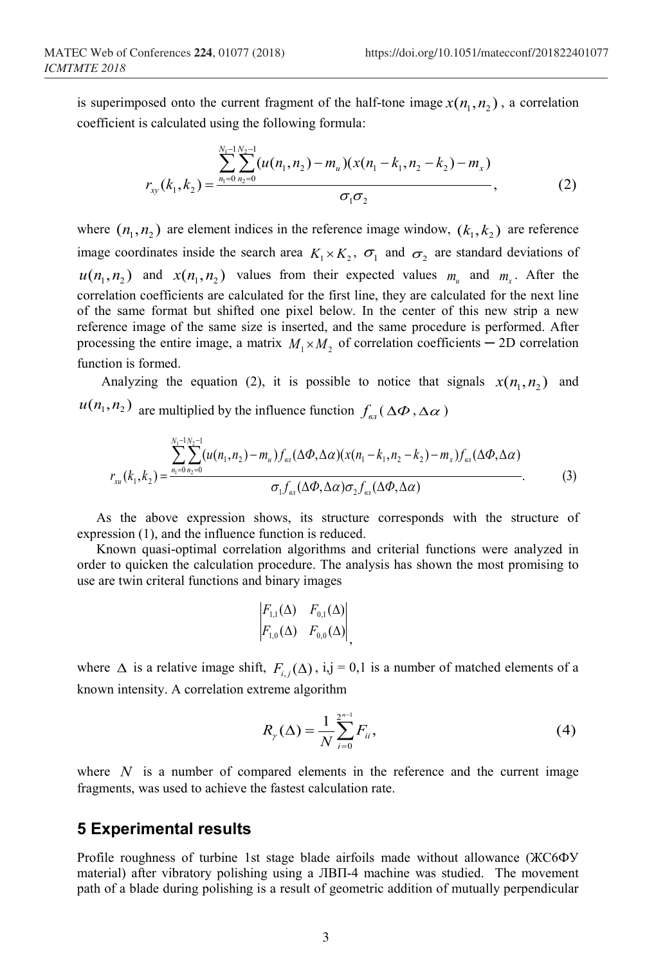is superimposed onto the current fragment of the half-tone image  $x(n_1, n_2)$ , a correlation coefficient is calculated using the following formula:

$$
r_{xy}(k_1, k_2) = \frac{\sum_{n_1=0}^{N_1-1} \sum_{n_2=0}^{N_2-1} (u(n_1, n_2) - m_u)(x(n_1 - k_1, n_2 - k_2) - m_x)}{\sigma_1 \sigma_2},
$$
 (2)

where  $(n_1, n_2)$  are element indices in the reference image window,  $(k_1, k_2)$  are reference image coordinates inside the search area  $K_1 \times K_2$ ,  $\sigma_1$  and  $\sigma_2$  are standard deviations of  $u(n_1, n_2)$  and  $x(n_1, n_2)$  values from their expected values  $m_u$  and  $m_u$ . After the correlation coefficients are calculated for the first line, they are calculated for the next line of the same format but shifted one pixel below. In the center of this new strip a new reference image of the same size is inserted, and the same procedure is performed. After processing the entire image, a matrix  $M_1 \times M_2$ , of correlation coefficients  $-$  2D correlation function is formed.

Analyzing the equation (2), it is possible to notice that signals  $x(n_1, n_2)$  and  $u(n_1, n_2)$  are multiplied by the influence function  $f_{\varepsilon n}(\Delta \Phi, \Delta \alpha)$ 

$$
r_{_{\rm xu}}(k_1, k_2) = \frac{\sum_{n_1=0}^{N_1-1} \sum_{n_2=0}^{N_2-1} (u(n_1, n_2) - m_u) f_{_{\rm ex}}(\Delta \Phi, \Delta \alpha) (x(n_1 - k_1, n_2 - k_2) - m_x) f_{_{\rm ex}}(\Delta \Phi, \Delta \alpha)}{\sigma_1 f_{_{\rm ex}}(\Delta \Phi, \Delta \alpha) \sigma_2 f_{_{\rm ex}}(\Delta \Phi, \Delta \alpha)}.
$$
(3)

As the above expression shows, its structure corresponds with the structure of expression (1), and the influence function is reduced.

Known quasi-optimal correlation algorithms and criterial functions were analyzed in order to quicken the calculation procedure. The analysis has shown the most promising to use are twin criteral functions and binary images

$$
\begin{vmatrix} F_{1,1}(\Delta) & F_{0,1}(\Delta) \\ F_{1,0}(\Delta) & F_{0,0}(\Delta) \end{vmatrix},
$$

where  $\Delta$  is a relative image shift,  $F_{i,j}(\Delta)$ , i,j = 0,1 is a number of matched elements of a known intensity. A correlation extreme algorithm

$$
R_{\gamma}(\Delta) = \frac{1}{N} \sum_{i=0}^{2^{n-1}} F_{ii},
$$
\n(4)

where  $N$  is a number of compared elements in the reference and the current image fragments, was used to achieve the fastest calculation rate.

#### **5 Experimental results**

Profile roughness of turbine 1st stage blade airfoils made without allowance (ЖС6ФУ material) after vibratory polishing using a ЛВП-4 machine was studied. The movement path of a blade during polishing is a result of geometric addition of mutually perpendicular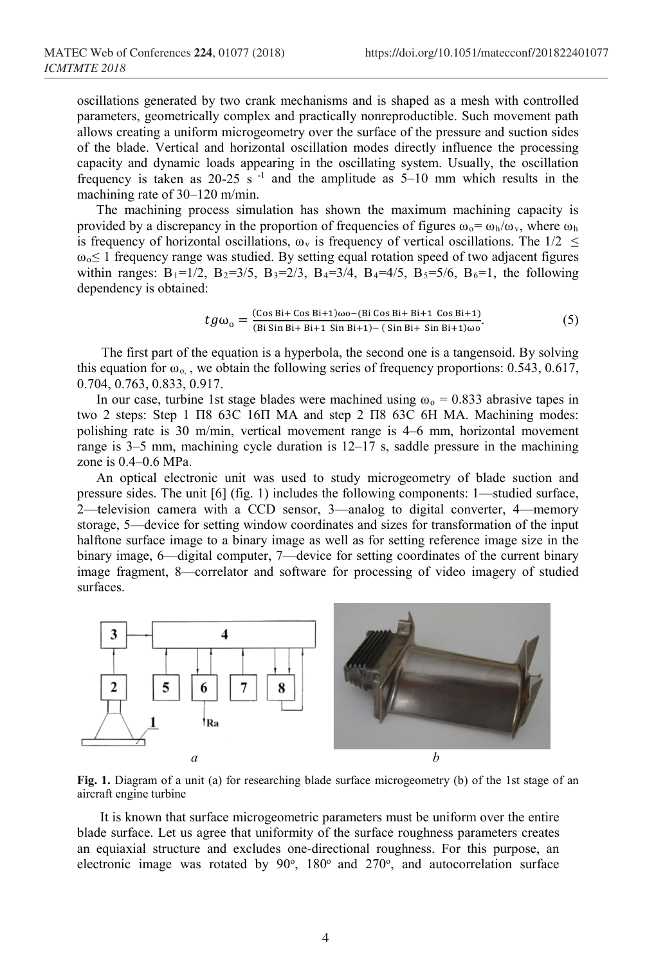oscillations generated by two crank mechanisms and is shaped as a mesh with controlled parameters, geometrically complex and practically nonreproductible. Such movement path allows creating a uniform microgeometry over the surface of the pressure and suction sides of the blade. Vertical and horizontal oscillation modes directly influence the processing capacity and dynamic loads appearing in the oscillating system. Usually, the oscillation frequency is taken as  $20-25$  s<sup>-1</sup> and the amplitude as  $5-10$  mm which results in the machining rate of 30–120 m/min.

The machining process simulation has shown the maximum machining capacity is provided by a discrepancy in the proportion of frequencies of figures  $\omega_0 = \omega_h/\omega_v$ , where  $\omega_h$ is frequency of horizontal oscillations,  $\omega_v$  is frequency of vertical oscillations. The 1/2  $\leq$ ωо≤ 1 frequency range was studied. By setting equal rotation speed of two adjacent figures within ranges:  $B_1=1/2$ ,  $B_2=3/5$ ,  $B_3=2/3$ ,  $B_4=3/4$ ,  $B_4=4/5$ ,  $B_5=5/6$ ,  $B_6=1$ , the following dependency is obtained:

$$
tg\omega_0 = \frac{(\cos \text{Bi} + \text{Cos Bi} + 1)\omega_0 - (\text{Bi Cos Bi} + \text{Bi} + 1 \text{ Cos Bi} + 1)}{(\text{Bi Sin Bi} + \text{Bi} + 1 \text{ Sin Bi} + 1) - (\text{Sin Bi} + \text{Sin Bi} + 1)\omega_0} \tag{5}
$$

The first part of the equation is a hyperbola, the second one is a tangensoid. By solving this equation for  $\omega_{\alpha}$ , we obtain the following series of frequency proportions: 0.543, 0.617, 0.704, 0.763, 0.833, 0.917.

In our case, turbine 1st stage blades were machined using  $\omega_0 = 0.833$  abrasive tapes in two 2 steps: Step 1 П8 63С 16П МА and step 2 П8 63С 6Н МА. Machining modes: polishing rate is 30 m/min, vertical movement range is 4–6 mm, horizontal movement range is  $3-5$  mm, machining cycle duration is  $12-17$  s, saddle pressure in the machining zone is 0.4–0.6 МPа.

An optical electronic unit was used to study microgeometry of blade suction and pressure sides. The unit [6] (fig. 1) includes the following components: 1—studied surface, 2—television camera with a CCD sensor, 3—analog to digital converter, 4—memory storage, 5—device for setting window coordinates and sizes for transformation of the input halftone surface image to a binary image as well as for setting reference image size in the binary image, 6—digital computer, 7—device for setting coordinates of the current binary image fragment, 8—correlator and software for processing of video imagery of studied surfaces.



**Fig. 1.** Diagram of a unit (а) for researching blade surface microgeometry (b) of the 1st stage of an aircraft engine turbine

It is known that surface microgeometric parameters must be uniform over the entire blade surface. Let us agree that uniformity of the surface roughness parameters creates an equiaxial structure and excludes one-directional roughness. For this purpose, an electronic image was rotated by  $90^\circ$ ,  $180^\circ$  and  $270^\circ$ , and autocorrelation surface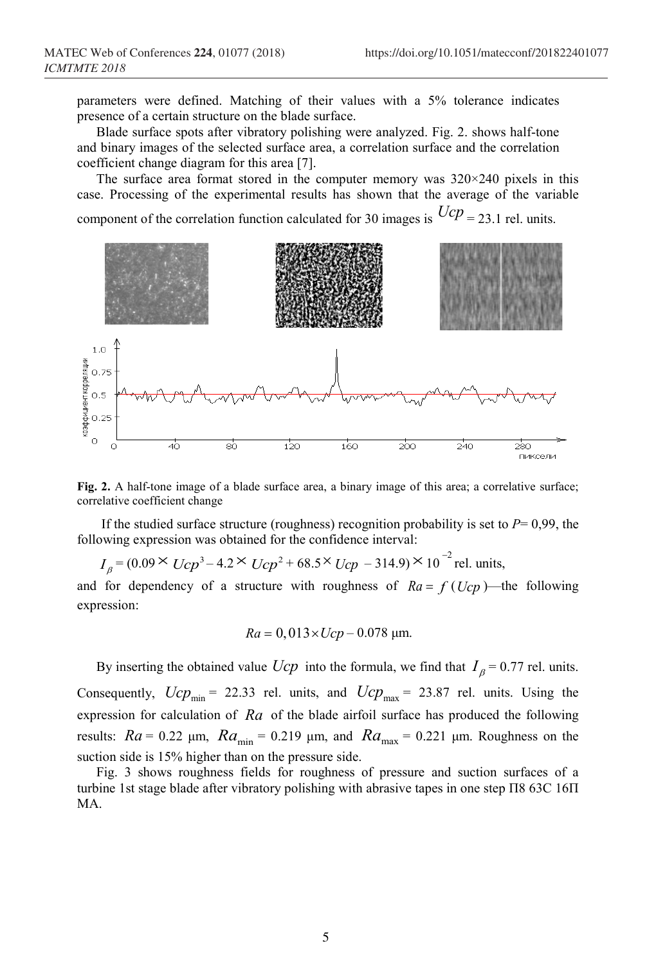parameters were defined. Matching of their values with a 5% tolerance indicates presence of a certain structure on the blade surface.

Blade surface spots after vibratory polishing were analyzed. Fig. 2. shows half-tone and binary images of the selected surface area, a correlation surface and the correlation coefficient change diagram for this area [7].

The surface area format stored in the computer memory was  $320 \times 240$  pixels in this case. Processing of the experimental results has shown that the average of the variable component of the correlation function calculated for 30 images is  $Ucp = 23.1$  rel. units.





If the studied surface structure (roughness) recognition probability is set to  $P= 0.99$ , the following expression was obtained for the confidence interval:

 $I_{\beta} = (0.09 \times Ucp^3 - 4.2 \times Ucp^2 + 68.5 \times Ucp - 314.9) \times 10^{-2}$  rel. units,

and for dependency of a structure with roughness of  $Ra = f(Ucp)$ —the following expression:

$$
Ra = 0.013 \times Ucp - 0.078 \text{ }\mu\text{m}.
$$

By inserting the obtained value *Ucp* into the formula, we find that  $I_\beta = 0.77$  rel. units. Consequently,  $Ucp_{\text{min}} = 22.33$  rel. units, and  $Ucp_{\text{max}} = 23.87$  rel. units. Using the expression for calculation of *Ra* of the blade airfoil surface has produced the following results:  $Ra = 0.22 \mu m$ ,  $Ra_{\text{min}} = 0.219 \mu m$ , and  $Ra_{\text{max}} = 0.221 \mu m$ . Roughness on the suction side is 15% higher than on the pressure side.

Fig. 3 shows roughness fields for roughness of pressure and suction surfaces of a turbine 1st stage blade after vibratory polishing with abrasive tapes in one step П8 63С 16П МА.